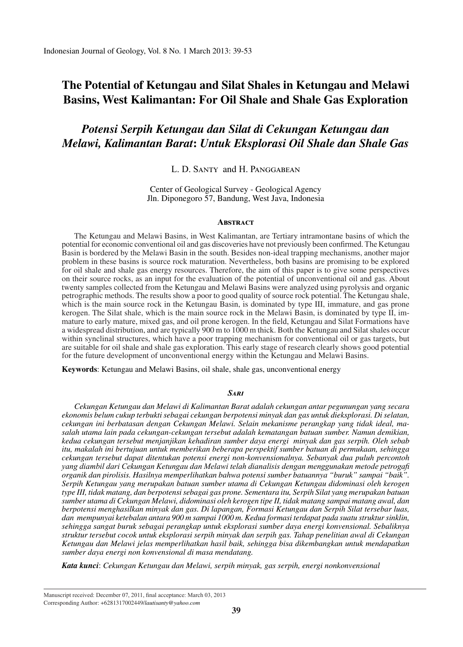# **The Potential of Ketungau and Silat Shales in Ketungau and Melawi Basins, West Kalimantan: For Oil Shale and Shale Gas Exploration**

# *Potensi Serpih Ketungau dan Silat di Cekungan Ketungau dan Melawi, Kalimantan Barat***:** *Untuk Eksplorasi Oil Shale dan Shale Gas*

### L. D. Santy and H. Panggabean

Center of Geological Survey - Geological Agency Jln. Diponegoro 57, Bandung, West Java, Indonesia

#### **ABSTRACT**

The Ketungau and Melawi Basins, in West Kalimantan, are Tertiary intramontane basins of which the potential for economic conventional oil and gas discoveries have not previously been confirmed. The Ketungau Basin is bordered by the Melawi Basin in the south. Besides non-ideal trapping mechanisms, another major problem in these basins is source rock maturation. Nevertheless, both basins are promising to be explored for oil shale and shale gas energy resources. Therefore, the aim of this paper is to give some perspectives on their source rocks, as an input for the evaluation of the potential of unconventional oil and gas. About twenty samples collected from the Ketungau and Melawi Basins were analyzed using pyrolysis and organic petrographic methods. The results show a poor to good quality of source rock potential. The Ketungau shale, which is the main source rock in the Ketungau Basin, is dominated by type III, immature, and gas prone kerogen. The Silat shale, which is the main source rock in the Melawi Basin, is dominated by type II, immature to early mature, mixed gas, and oil prone kerogen. In the field, Ketungau and Silat Formations have a widespread distribution, and are typically 900 m to 1000 m thick. Both the Ketungau and Silat shales occur within synclinal structures, which have a poor trapping mechanism for conventional oil or gas targets, but are suitable for oil shale and shale gas exploration. This early stage of research clearly shows good potential for the future development of unconventional energy within the Ketungau and Melawi Basins.

**Keywords**: Ketungau and Melawi Basins, oil shale, shale gas, unconventional energy

### *Sari*

*Cekungan Ketungau dan Melawi di Kalimantan Barat adalah cekungan antar pegunungan yang secara ekonomis belum cukup terbukti sebagai cekungan berpotensi minyak dan gas untuk dieksplorasi. Di selatan, cekungan ini berbatasan dengan Cekungan Melawi. Selain mekanisme perangkap yang tidak ideal, masalah utama lain pada cekungan-cekungan tersebut adalah kematangan batuan sumber. Namun demikian, kedua cekungan tersebut menjanjikan kehadiran sumber daya energi minyak dan gas serpih. Oleh sebab itu, makalah ini bertujuan untuk memberikan beberapa perspektif sumber batuan di permukaan, sehingga cekungan tersebut dapat ditentukan potensi energi non-konvensionalnya. Sebanyak dua puluh percontoh yang diambil dari Cekungan Ketungau dan Melawi telah dianalisis dengan menggunakan metode petrogafi organik dan pirolisis. Hasilnya memperlihatkan bahwa potensi sumber batuannya "buruk" sampai "baik". Serpih Ketungau yang merupakan batuan sumber utama di Cekungan Ketungau didominasi oleh kerogen type III, tidak matang, dan berpotensi sebagai gas prone. Sementara itu, Serpih Silat yang merupakan batuan sumber utama di Cekungan Melawi, didominasi oleh kerogen tipe II, tidak matang sampai matang awal, dan berpotensi menghasilkan minyak dan gas. Di lapangan, Formasi Ketungau dan Serpih Silat tersebar luas, dan mempunyai ketebalan antara 900 m sampai 1000 m. Kedua formasi terdapat pada suatu struktur sinklin, sehingga sangat buruk sebagai perangkap untuk eksplorasi sumber daya energi konvensional. Sebaliknya struktur tersebut cocok untuk eksplorasi serpih minyak dan serpih gas. Tahap penelitian awal di Cekungan Ketungau dan Melawi jelas memperlihatkan hasil baik, sehingga bisa dikembangkan untuk mendapatkan sumber daya energi non konvensional di masa mendatang.*

*Kata kunci*: *Cekungan Ketungau dan Melawi, serpih minyak, gas serpih, energi nonkonvensional*

Manuscript received: December 07, 2011, final acceptance: March 03, 2013 Corresponding Author: +6281317002449/*lautisanty@yahoo.com*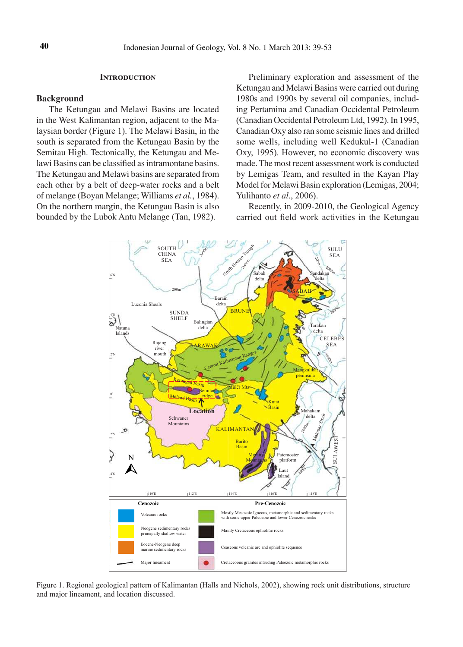### **Introduction**

### **Background**

The Ketungau and Melawi Basins are located in the West Kalimantan region, adjacent to the Malaysian border (Figure 1). The Melawi Basin, in the south is separated from the Ketungau Basin by the Semitau High. Tectonically, the Ketungau and Melawi Basins can be classified as intramontane basins. The Ketungau and Melawi basins are separated from each other by a belt of deep-water rocks and a belt of melange (Boyan Melange; Williams *et al.*, 1984). On the northern margin, the Ketungau Basin is also bounded by the Lubok Antu Melange (Tan, 1982).

Preliminary exploration and assessment of the Ketungau and Melawi Basins were carried out during 1980s and 1990s by several oil companies, including Pertamina and Canadian Occidental Petroleum (Canadian Occidental Petroleum Ltd, 1992). In 1995, Canadian Oxy also ran some seismic lines and drilled some wells, including well Kedukul-1 (Canadian Oxy, 1995). However, no economic discovery was made. The most recent assessment work is conducted by Lemigas Team, and resulted in the Kayan Play Model for Melawi Basin exploration (Lemigas, 2004; Yulihanto *et al*., 2006).

Recently, in 2009-2010, the Geological Agency carried out field work activities in the Ketungau



Figure 1. Regional geological pattern of Kalimantan (Halls and Nichols, 2002), showing rock unit distributions, structure and major lineament, and location discussed.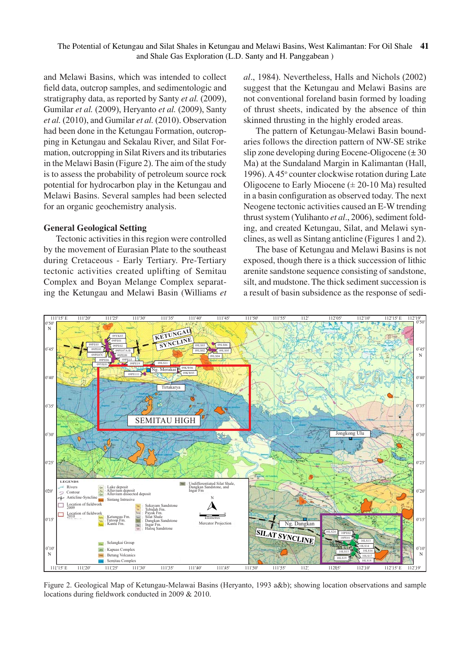and Melawi Basins, which was intended to collect field data, outcrop samples, and sedimentologic and stratigraphy data, as reported by Santy *et al.* (2009), Gumilar *et al.* (2009), Heryanto *et al.* (2009), Santy *et al.* (2010), and Gumilar *et al.* (2010). Observation had been done in the Ketungau Formation, outcropping in Ketungau and Sekalau River, and Silat Formation, outcropping in Silat Rivers and its tributaries in the Melawi Basin (Figure 2). The aim of the study is to assess the probability of petroleum source rock potential for hydrocarbon play in the Ketungau and Melawi Basins. Several samples had been selected for an organic geochemistry analysis.

### **General Geological Setting**

Tectonic activities in this region were controlled by the movement of Eurasian Plate to the southeast during Cretaceous - Early Tertiary. Pre-Tertiary tectonic activities created uplifting of Semitau Complex and Boyan Melange Complex separating the Ketungau and Melawi Basin (Williams *et*  *al*., 1984). Nevertheless, Halls and Nichols (2002) suggest that the Ketungau and Melawi Basins are not conventional foreland basin formed by loading of thrust sheets, indicated by the absence of thin skinned thrusting in the highly eroded areas.

The pattern of Ketungau-Melawi Basin boundaries follows the direction pattern of NW-SE strike slip zone developing during Eocene-Oligocene  $(\pm 30)$ Ma) at the Sundaland Margin in Kalimantan (Hall, 1996). A 45° counter clockwise rotation during Late Oligocene to Early Miocene  $(\pm 20{\text -}10 \text{ Ma})$  resulted in a basin configuration as observed today. The next Neogene tectonic activities caused an E-W trending thrust system (Yulihanto *et al*., 2006), sediment folding, and created Ketungau, Silat, and Melawi synclines, as well as Sintang anticline (Figures 1 and 2).

The base of Ketungau and Melawi Basins is not exposed, though there is a thick succession of lithic arenite sandstone sequence consisting of sandstone, silt, and mudstone. The thick sediment succession is a result of basin subsidence as the response of sedi-



Figure 2. Geological Map of Ketungau-Melawai Basins (Heryanto, 1993 a&b); showing location observations and sample locations during fieldwork conducted in 2009 & 2010.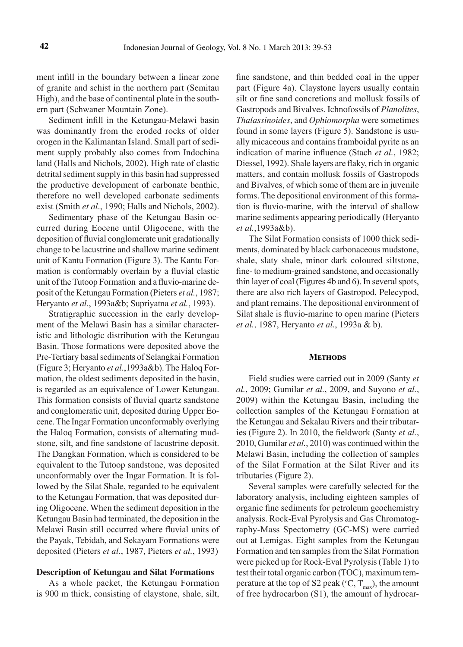ment infill in the boundary between a linear zone of granite and schist in the northern part (Semitau High), and the base of continental plate in the southern part (Schwaner Mountain Zone).

Sediment infill in the Ketungau-Melawi basin was dominantly from the eroded rocks of older orogen in the Kalimantan Island. Small part of sediment supply probably also comes from Indochina land (Halls and Nichols, 2002). High rate of clastic detrital sediment supply in this basin had suppressed the productive development of carbonate benthic, therefore no well developed carbonate sediments exist (Smith *et al*., 1990; Halls and Nichols, 2002).

Sedimentary phase of the Ketungau Basin occurred during Eocene until Oligocene, with the deposition of fluvial conglomerate unit gradationally change to be lacustrine and shallow marine sediment unit of Kantu Formation (Figure 3). The Kantu Formation is conformably overlain by a fluvial clastic unit of the Tutoop Formation and a fluvio-marine deposit of the Ketungau Formation (Pieters *et al.*, 1987; Heryanto *et al.*, 1993a&b; Supriyatna *et al.*, 1993).

Stratigraphic succession in the early development of the Melawi Basin has a similar characteristic and lithologic distribution with the Ketungau Basin. Those formations were deposited above the Pre-Tertiary basal sediments of Selangkai Formation (Figure 3; Heryanto *et al.*,1993a&b). The Haloq Formation, the oldest sediments deposited in the basin, is regarded as an equivalence of Lower Ketungau. This formation consists of fluvial quartz sandstone and conglomeratic unit, deposited during Upper Eocene. The Ingar Formation unconformably overlying the Haloq Formation, consists of alternating mudstone, silt, and fine sandstone of lacustrine deposit. The Dangkan Formation, which is considered to be equivalent to the Tutoop sandstone, was deposited unconformably over the Ingar Formation. It is followed by the Silat Shale, regarded to be equivalent to the Ketungau Formation, that was deposited during Oligocene. When the sediment deposition in the Ketungau Basin had terminated, the deposition in the Melawi Basin still occurred where fluvial units of the Payak, Tebidah, and Sekayam Formations were deposited (Pieters *et al.*, 1987, Pieters *et al.*, 1993)

### **Description of Ketungau and Silat Formations**

As a whole packet, the Ketungau Formation is 900 m thick, consisting of claystone, shale, silt,

fine sandstone, and thin bedded coal in the upper part (Figure 4a). Claystone layers usually contain silt or fine sand concretions and mollusk fossils of Gastropods and Bivalves. Ichnofossils of *Planolites*, *Thalassinoides*, and *Ophiomorpha* were sometimes found in some layers (Figure 5). Sandstone is usually micaceous and contains framboidal pyrite as an indication of marine influence (Stach *et al.*, 1982; Diessel, 1992). Shale layers are flaky, rich in organic matters, and contain mollusk fossils of Gastropods and Bivalves, of which some of them are in juvenile forms. The depositional environment of this formation is fluvio-marine, with the interval of shallow marine sediments appearing periodically (Heryanto *et al.*,1993a&b).

The Silat Formation consists of 1000 thick sediments, dominated by black carbonaceous mudstone, shale, slaty shale, minor dark coloured siltstone, fine- to medium-grained sandstone, and occasionally thin layer of coal (Figures 4b and 6). In several spots, there are also rich layers of Gastropod, Pelecypod, and plant remains. The depositional environment of Silat shale is fluvio-marine to open marine (Pieters *et al.*, 1987, Heryanto *et al.*, 1993a & b).

#### **Methods**

Field studies were carried out in 2009 (Santy *et al.*, 2009; Gumilar *et al.*, 2009, and Suyono *et al.*, 2009) within the Ketungau Basin, including the collection samples of the Ketungau Formation at the Ketungau and Sekalau Rivers and their tributaries (Figure 2). In 2010, the fieldwork (Santy *et al.*, 2010, Gumilar *et al.*, 2010) was continued within the Melawi Basin, including the collection of samples of the Silat Formation at the Silat River and its tributaries (Figure 2).

Several samples were carefully selected for the laboratory analysis, including eighteen samples of organic fine sediments for petroleum geochemistry analysis. Rock-Eval Pyrolysis and Gas Chromatography-Mass Spectometry (GC-MS) were carried out at Lemigas. Eight samples from the Ketungau Formation and ten samples from the Silat Formation were picked up for Rock-Eval Pyrolysis (Table 1) to test their total organic carbon (TOC), maximum temperature at the top of S2 peak ( $\rm ^oC,$  T<sub>max</sub>), the amount of free hydrocarbon (S1), the amount of hydrocar-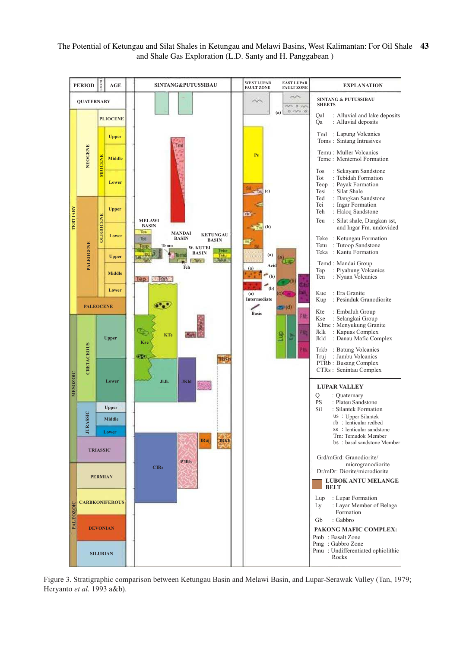

Figure 3. Stratigraphic comparison between Ketungau Basin and Melawi Basin, and Lupar-Serawak Valley (Tan, 1979; Heryanto *et al.* 1993 a&b).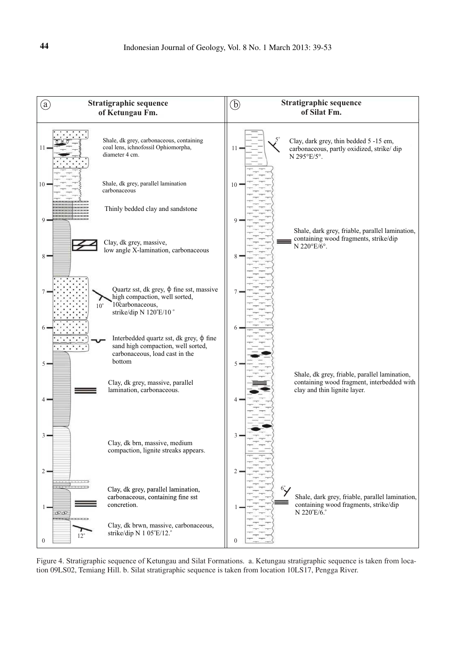

Figure 4. Stratigraphic sequence of Ketungau and Silat Formations. a. Ketungau stratigraphic sequence is taken from location 09LS02, Temiang Hill. b. Silat stratigraphic sequence is taken from location 10LS17, Pengga River.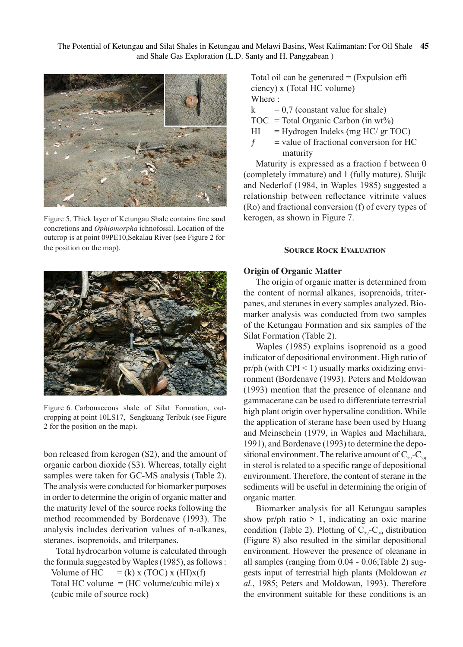

Figure 5. Thick layer of Ketungau Shale contains fine sand concretions and *Ophiomorpha* ichnofossil. Location of the outcrop is at point 09PE10,Sekalau River (see Figure 2 for the position on the map).

Total oil can be generated  $=$  (Expulsion effi ciency) x (Total HC volume) Where :

 $k = 0.7$  (constant value for shale)

 $TOC = Total Organic Carbon (in wt%)$ 

 $HI = Hydrogen Index (mg HC/ gr TOC)$ 

 $f =$  value of fractional conversion for HC maturity

Maturity is expressed as a fraction f between 0 (completely immature) and 1 (fully mature). Sluijk and Nederlof (1984, in Waples 1985) suggested a relationship between reflectance vitrinite values (Ro) and fractional conversion (f) of every types of kerogen, as shown in Figure 7.

## **SOURCE ROCK EVALUATION**



Figure 6. Carbonaceous shale of Silat Formation, outcropping at point 10LS17, Sengkuang Teribuk (see Figure 2 for the position on the map).

bon released from kerogen (S2), and the amount of organic carbon dioxide (S3). Whereas, totally eight samples were taken for GC-MS analysis (Table 2). The analysis were conducted for biomarker purposes in order to determine the origin of organic matter and the maturity level of the source rocks following the method recommended by Bordenave (1993). The analysis includes derivation values of n-alkanes, steranes, isoprenoids, and triterpanes.

Total hydrocarbon volume is calculated through the formula suggested by Waples (1985), as follows : Volume of  $HC = (k)$  x (TOC) x (HI)x(f) Total HC volume  $=$  (HC volume/cubic mile) x (cubic mile of source rock)

## **Origin of Organic Matter**

The origin of organic matter is determined from the content of normal alkanes, isoprenoids, triterpanes, and steranes in every samples analyzed. Biomarker analysis was conducted from two samples of the Ketungau Formation and six samples of the Silat Formation (Table 2).

Waples (1985) explains isoprenoid as a good indicator of depositional environment. High ratio of pr/ph (with CPI  $\leq$  1) usually marks oxidizing environment (Bordenave (1993). Peters and Moldowan (1993) mention that the presence of oleanane and gammacerane can be used to differentiate terrestrial high plant origin over hypersaline condition. While the application of sterane hase been used by Huang and Meinschein (1979, in Waples and Machihara, 1991), and Bordenave (1993) to determine the depositional environment. The relative amount of  $C_{27}-C_{29}$ in sterol is related to a specific range of depositional environment. Therefore, the content of sterane in the sediments will be useful in determining the origin of organic matter.

Biomarker analysis for all Ketungau samples show pr/ph ratio  $> 1$ , indicating an oxic marine condition (Table 2). Plotting of  $C_{27}-C_{29}$  distribution (Figure 8) also resulted in the similar depositional environment. However the presence of oleanane in all samples (ranging from 0.04 - 0.06;Table 2) suggests input of terrestrial high plants (Moldowan *et al.*, 1985; Peters and Moldowan, 1993). Therefore the environment suitable for these conditions is an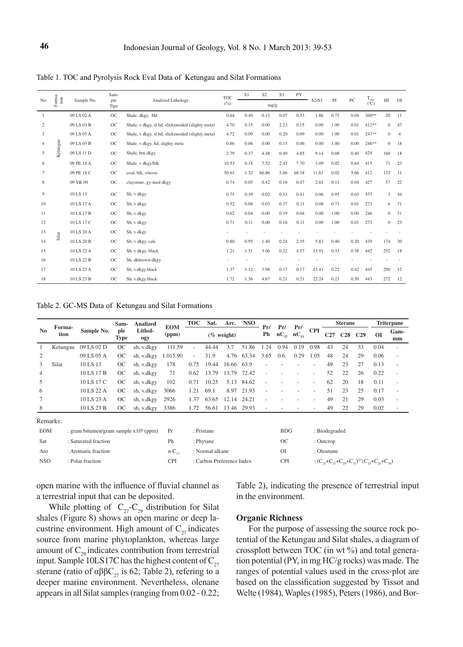| N <sub>o</sub> | Foma-<br>tion | Sample No. | Sam-<br>ple | Analized Lithology                                | <b>TOC</b> | S <sub>1</sub> | S <sub>2</sub> | S <sub>3</sub><br>PY |       | S2/S3 | PI   | PC            | $\rm T_{max}$ | H            | <sup>OI</sup>  |
|----------------|---------------|------------|-------------|---------------------------------------------------|------------|----------------|----------------|----------------------|-------|-------|------|---------------|---------------|--------------|----------------|
|                |               |            | Tipe        |                                                   | (%)        |                | mg/g           |                      |       |       |      | $(^{\circ}C)$ |               |              |                |
| $\mathbf{1}$   |               | 09 LS 02 A | <b>OC</b>   | Shale, dkgy, Hd                                   | 0.64       | 0.40           | 0.13           | 0.07                 | 0.53  | 1.86  | 0.75 | 0.04          | $360**$       | 20           | 11             |
| 2              |               | 09 LS 03 B | <b>OC</b>   | Shale, v dkgy, sl hd, slickensided (slighty meta) | 4.70       | 0.15           | 0.00           | 2.23                 | 0.15  | 0.00  | 1.00 | 0.01          | 412**         | $\mathbf{0}$ | 47             |
| 3              |               | 09 LS 05 A | OC          | Shale, v dkgy, sl hd, slickensided (slighty meta) | 4.72       | 0.09           | 0.00           | 0.20                 | 0.09  | 0.00  | 1.00 | 0.01          | 247**         | $\mathbf{0}$ | $\overline{4}$ |
| $\overline{4}$ |               | 09 LS 05 B | OC          | Shale, v dkgy, hd, slighty meta                   | 0.86       | 0.06           | 0.00           | 0.15                 | 0.06  | 0.00  | 1.00 | 0.00          | $246**$       | $\mathbf{0}$ | 18             |
| 5              | Ketungau      | 09 LS 11 D | <b>OC</b>   | Shale, brn dkgy                                   | 2.79       | 0.37           | 4.48           | 0.49                 | 4.85  | 9.14  | 0.08 | 0.40          | 424           | 160          | 18             |
| 6              |               | 09 PE 18 A | OC          | Shale, v dkgy/blk                                 | 10.53      | 0.18           | 7.52           | 2.43                 | 7.70  | 3.09  | 0.02 | 0.64          | 415           | 71           | 23             |
| 7              |               | 09 PE 18 C | <b>OC</b>   | coal, blk, vitreos                                | 50.63      | 1.32           | 66.86          | 5.66                 | 68.18 | 11.81 | 0.02 | 5.66          | 412           | 132          | <sup>11</sup>  |
| 8              |               | 09 YK 09   | <b>OC</b>   | claystone, gy-med dkgy                            | 0.74       | 0.05           | 0.42           | 0.16                 | 0.47  | 2.63  | 0.11 | 0.04          | 427           | 57           | 22             |
| 9              |               | 10 LS 13   | <b>OC</b>   | Sh, v dkgy                                        | 0.75       | 0.39           | 0.02           | 0.33                 | 0.41  | 0.06  | 0.95 | 0.03          | 433           | 3            | 44             |
| 10             |               | 10 LS 17 A | <b>OC</b>   | Sh, v dkgy                                        | 0.52       | 0.08           | 0.03           | 0.37                 | 0.11  | 0.08  | 0.73 | 0.01          | 273           | 6            | 71             |
| 11             |               | 10 LS 17 B | OC          | Sh, v dkgy                                        | 0.62       | 0.04           | 0.00           | 0.19                 | 0.04  | 0.00  | 1.00 | 0.00          | 246           | $\mathbf{0}$ | 31             |
| 12             |               | 10 LS 17 C | OC          | Sh, v dkgy                                        | 0.71       | 0.11           | 0.00           | 0.16                 | 0.11  | 0.00  | 1.00 | 0.01          | 273           | $\mathbf{0}$ | 23             |
| 13             | Silat         | 10 LS 20 A | <b>OC</b>   | Sh, v dkgy                                        |            |                |                |                      |       |       |      |               |               |              |                |
| 14             |               | 10 LS 20 B | OC          | Sh, v dkgy, calc                                  | 0.80       | 0.95           | 1.40           | 0.24                 | 2.35  | 5.83  | 0.40 | 0.20          | 439           | 174          | 30             |
| 15             |               | 10 LS 22 A | <b>OC</b>   | Sh, v dkgy, black                                 | 1.21       | 1.51           | 3.06           | 0.22                 | 4.57  | 13.91 | 0.33 | 0.38          | 442           | 252          | 18             |
| 16             |               | 10 LS 22 B | <b>OC</b>   | Sh, dkbrown-dkgy                                  |            |                |                |                      |       |       |      |               |               |              |                |
| 17             |               | 10 LS 23 A | OC          | Sh, v.dkgy.black                                  | 1.37       | 1.12           | 3.98           | 0.17                 | 0.17  | 23.41 | 0.22 | 0.42          | 445           | 290          | 12             |
| 18             |               | 10 LS 23 B | <b>OC</b>   | Sh, v.dkgy.black                                  | 1.72       | 1.36           | 4.67           | 0.21                 | 0.21  | 22.24 | 0.23 | 0.50          | 443           | 272          | 12             |

Table 1. TOC and Pyrolysis Rock Eval Data of Ketungau and Silat Formations

Table 2. GC-MS Data of Ketungau and Silat Formations

|                        | Forma-<br>tion | Sample No. | Sam-<br>ple<br>Type | <b>Analized</b><br>Lithol-<br>ogy | <b>EOM</b><br>(ppm) | TOC    | Sat.  |               | Arc. NSO   |           | Pr/                 | Pr/  |            | <b>Sterane</b> |     |     | Triterpane |                          |
|------------------------|----------------|------------|---------------------|-----------------------------------|---------------------|--------|-------|---------------|------------|-----------|---------------------|------|------------|----------------|-----|-----|------------|--------------------------|
| $\mathbf{N}\mathbf{0}$ |                |            |                     |                                   |                     |        |       | $(\%$ weight) |            | Pr/<br>Ph | $nC_{17}$ $nC_{13}$ |      | <b>CPI</b> | C27            | C28 | C29 | ΩI         | Gam-<br>mm               |
|                        | Ketungau       | 09 LS 02 D | <b>OC</b>           | sh, v.dkgy                        | 111.59              | $\sim$ | 44.44 | 3.7           | 51.86      | 1.24      | 0.94                | 0.19 | 0.98       | 43             | 24  | 33  | 0.04       |                          |
|                        |                | 09 LS 05 A | OC.                 | sh, v.dkgy                        | 1.015.90            | $\sim$ | 31.9  | 4.76          | 63.34      | 3.65      | 0.6                 | 0.29 | 1.05       | 48             | 24  | 29  | 0.06       | ٠                        |
|                        | Silat          | 10 LS 13   | OC                  | sh, v.dkgy                        | 178                 | 0.75   | 19.44 | 16.66 63.9    |            |           |                     |      |            | 49             | 23  | 27  | 0.13       | $\overline{\phantom{a}}$ |
| 4                      |                | 10 LS 17 B | OC.                 | sh, v.dkgy                        | 71                  | 0.62   | 13.79 | 13.79 72.42   |            |           |                     |      |            | 52             | 22  | 26  | 0.22       | $\overline{\phantom{a}}$ |
| 5                      |                | 10 LS 17 C | <sub>OC</sub>       | sh, v.dkgy                        | 102                 | 0.71   | 10.25 |               | 5.13 84.62 |           |                     |      |            | 62             | 20  | 18  | 0.11       | ٠                        |
| 6                      |                | 10 LS 22 A | OC.                 | sh, v.dkgy                        | 3066                | 1.21   | 69.1  |               | 8.97 21.93 |           |                     |      |            | 51             | 23  | 25  | 0.17       | $\overline{\phantom{a}}$ |
|                        |                | 10 LS 23 A | OC.                 | sh, v.dkgy                        | 2926                | 1.37   | 63.65 | 12.14 24.21   |            |           |                     |      |            | 49             | 21  | 29  | 0.03       | ۰                        |
| 8                      |                | 10 LS 23 B | OC.                 | sh, v.dkgy                        | 3386                | 1.72   | 56.61 | 13.46 29.93   |            | ٠         |                     |      |            | 49             | 22  | 29  | 0.02       | ٠                        |
| Remarks:               |                |            |                     |                                   |                     |        |       |               |            |           |                     |      |            |                |     |     |            |                          |

| www.com |  |
|---------|--|
|         |  |
| EС      |  |

| <b>EOM</b> | : gram bitumen/gram sample $x10^6$ (ppm) Pr |           | : Pristane                | <b>BDG</b> | : Biodegraded                                                               |
|------------|---------------------------------------------|-----------|---------------------------|------------|-----------------------------------------------------------------------------|
| Sat        | : Saturated fraction                        | Ph        | : Phytane                 | ОC         | $:$ Outcrop                                                                 |
| Aro        | : Aromatic fraction                         | $n-C_{n}$ | : Normal alkane           | ΟI         | : Oleanane                                                                  |
| <b>NSO</b> | : Polar fraction                            | CPI       | : Carbon Preference Index | <b>CPI</b> | : $(C_{25}+C_{27}+C_{29}+C_{31})^{2}$ <sup>*</sup> $(C_{25}+C_{28}+C_{30})$ |

open marine with the influence of fluvial channel as a terrestrial input that can be deposited.

While plotting of  $C_{27}-C_{29}$  distribution for Silat shales (Figure 8) shows an open marine or deep lacustrine environment. High amount of  $C_{27}$  indicates source from marine phytoplankton, whereas large amount of  $C_{29}$  indicates contribution from terrestrial input. Sample 10LS17C has the highest content of  $C_{27}$ sterane (ratio of  $\alpha\beta\beta C_{27}$  is 62; Table 2), refering to a deeper marine environment. Nevertheless, olenane appears in all Silat samples (ranging from 0.02 - 0.22;

Table 2), indicating the presence of terrestrial input in the environment.

### **Organic Richness**

For the purpose of assessing the source rock potential of the Ketungau and Silat shales, a diagram of crossplott between TOC (in wt %) and total generation potential (PY, in mg HC/g rocks) was made. The ranges of potential values used in the cross-plot are based on the classification suggested by Tissot and Welte (1984), Waples (1985), Peters (1986), and Bor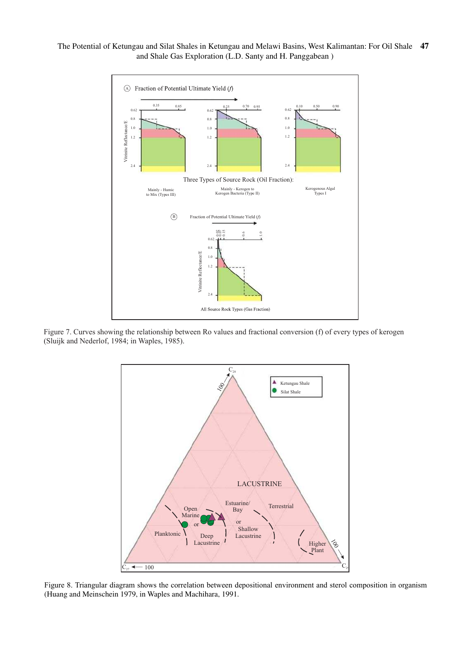The Potential of Ketungau and Silat Shales in Ketungau and Melawi Basins, West Kalimantan: For Oil Shale **47** and Shale Gas Exploration (L.D. Santy and H. Panggabean )



Figure 7. Curves showing the relationship between Ro values and fractional conversion (f) of every types of kerogen (Sluijk and Nederlof, 1984; in Waples, 1985).



Figure 8. Triangular diagram shows the correlation between depositional environment and sterol composition in organism (Huang and Meinschein 1979, in Waples and Machihara, 1991.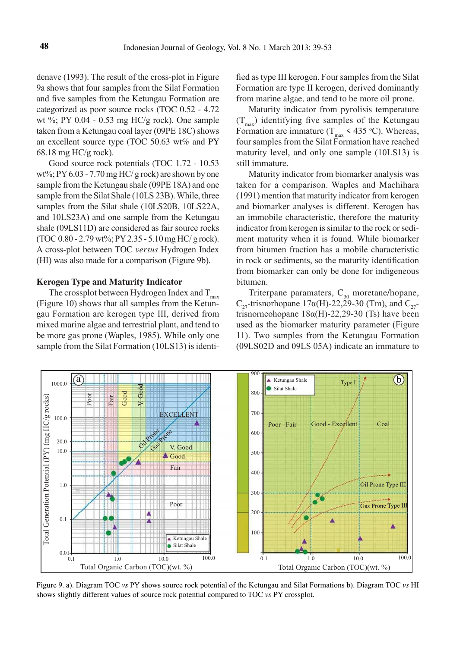denave (1993). The result of the cross-plot in Figure 9a shows that four samples from the Silat Formation and five samples from the Ketungau Formation are categorized as poor source rocks (TOC 0.52 - 4.72 wt %; PY 0.04 - 0.53 mg HC/g rock). One sample taken from a Ketungau coal layer (09PE 18C) shows an excellent source type (TOC 50.63 wt% and PY 68.18 mg HC/g rock).

Good source rock potentials (TOC 1.72 - 10.53 wt%; PY 6.03 - 7.70 mg HC/ g rock) are shown by one sample from the Ketungau shale (09PE 18A) and one sample from the Silat Shale (10LS 23B). While, three samples from the Silat shale (10LS20B, 10LS22A, and 10LS23A) and one sample from the Ketungau shale (09LS11D) are considered as fair source rocks (TOC 0.80 - 2.79 wt%; PY 2.35 - 5.10 mg HC/ g rock). A cross-plot between TOC *versus* Hydrogen Index (HI) was also made for a comparison (Figure 9b).

### **Kerogen Type and Maturity Indicator**

The crossplot between Hydrogen Index and  $T_{\text{max}}$ (Figure 10) shows that all samples from the Ketungau Formation are kerogen type III, derived from mixed marine algae and terrestrial plant, and tend to be more gas prone (Waples, 1985). While only one sample from the Silat Formation (10LS13) is identified as type III kerogen. Four samples from the Silat Formation are type II kerogen, derived dominantly from marine algae, and tend to be more oil prone.

Maturity indicator from pyrolisis temperature  $(T<sub>max</sub>)$  identifying five samples of the Ketungau Formation are immature ( $T_{\text{max}}$  < 435 °C). Whereas, four samples from the Silat Formation have reached maturity level, and only one sample (10LS13) is still immature.

Maturity indicator from biomarker analysis was taken for a comparison. Waples and Machihara (1991) mention that maturity indicator from kerogen and biomarker analyses is different. Kerogen has an immobile characteristic, therefore the maturity indicator from kerogen is similar to the rock or sediment maturity when it is found. While biomarker from bitumen fraction has a mobile characteristic in rock or sediments, so the maturity identification from biomarker can only be done for indigeneous bitumen.

Triterpane paramaters,  $C_{30}$  moretane/hopane, C<sub>27</sub>-trisnorhopane 17 $\alpha$ (H)-22,29-30 (Tm), and C<sub>27</sub>trisnorneohopane  $18\alpha$ (H)-22,29-30 (Ts) have been used as the biomarker maturity parameter (Figure 11). Two samples from the Ketungau Formation (09LS02D and 09LS 05A) indicate an immature to



Figure 9. a). Diagram TOC *vs* PY shows source rock potential of the Ketungau and Silat Formations b). Diagram TOC *vs* HI shows slightly different values of source rock potential compared to TOC *vs* PY crossplot.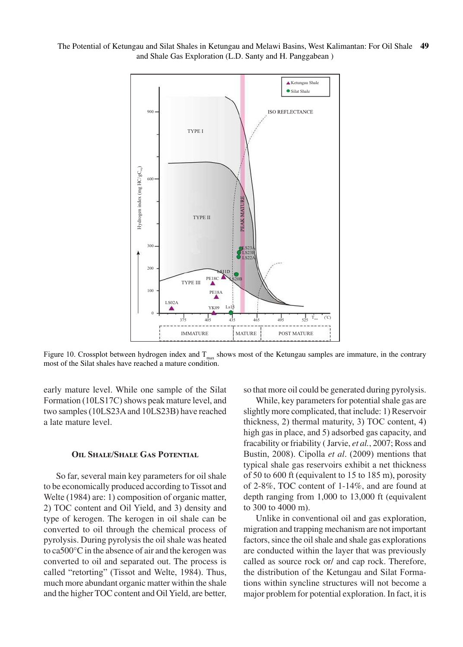

Figure 10. Crossplot between hydrogen index and  $T_{max}$  shows most of the Ketungau samples are immature, in the contrary most of the Silat shales have reached a mature condition.

early mature level. While one sample of the Silat Formation (10LS17C) shows peak mature level, and two samples (10LS23A and 10LS23B) have reached a late mature level.

### **Oil Shale/Shale Gas Potential**

So far, several main key parameters for oil shale to be economically produced according to Tissot and Welte (1984) are: 1) composition of organic matter, 2) TOC content and Oil Yield, and 3) density and type of kerogen. The kerogen in oil shale can be converted to oil through the chemical process of pyrolysis. During pyrolysis the oil shale was heated to ca500°C in the absence of air and the kerogen was converted to oil and separated out. The process is called "retorting" (Tissot and Welte, 1984). Thus, much more abundant organic matter within the shale and the higher TOC content and Oil Yield, are better, so that more oil could be generated during pyrolysis.

While, key parameters for potential shale gas are slightly more complicated, that include: 1) Reservoir thickness, 2) thermal maturity, 3) TOC content, 4) high gas in place, and 5) adsorbed gas capacity, and fracability or friability ( Jarvie, *et al.*, 2007; Ross and Bustin, 2008). Cipolla *et al*. (2009) mentions that typical shale gas reservoirs exhibit a net thickness of 50 to 600 ft (equivalent to 15 to 185 m), porosity of 2-8%, TOC content of 1-14%, and are found at depth ranging from 1,000 to 13,000 ft (equivalent to 300 to 4000 m).

Unlike in conventional oil and gas exploration, migration and trapping mechanism are not important factors, since the oil shale and shale gas explorations are conducted within the layer that was previously called as source rock or/ and cap rock. Therefore, the distribution of the Ketungau and Silat Formations within syncline structures will not become a major problem for potential exploration. In fact, it is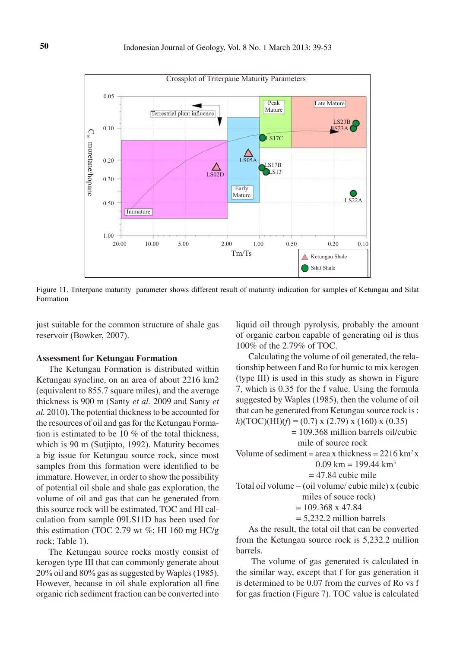

Figure 11. Triterpane maturity parameter shows different result of maturity indication for samples of Ketungau and Silat Formation

just suitable for the common structure of shale gas reservoir (Bowker, 2007).

### **Assessment for Ketungau Formation**

The Ketungau Formation is distributed within Ketungau syncline, on an area of about 2216 km2 (equivalent to 855.7 square miles), and the average thickness is 900 m (Santy *et al.* 2009 and Santy *et al.* 2010). The potential thickness to be accounted for the resources of oil and gas for the Ketungau Formation is estimated to be 10 % of the total thickness, which is 90 m (Sutjipto, 1992). Maturity becomes a big issue for Ketungau source rock, since most samples from this formation were identified to be immature. However, in order to show the possibility of potential oil shale and shale gas exploration, the volume of oil and gas that can be generated from this source rock will be estimated. TOC and HI calculation from sample 09LS11D has been used for this estimation (TOC 2.79 wt  $\%$ ; HI 160 mg HC/g rock; Table 1).

The Ketungau source rocks mostly consist of kerogen type III that can commonly generate about 20% oil and 80% gas as suggested by Waples (1985). However, because in oil shale exploration all fine organic rich sediment fraction can be converted into

liquid oil through pyrolysis, probably the amount of organic carbon capable of generating oil is thus 100% of the 2.79% of TOC.

Calculating the volume of oil generated, the relationship between f and Ro for humic to mix kerogen (type III) is used in this study as shown in Figure 7, which is 0.35 for the f value. Using the formula suggested by Waples (1985), then the volume of oil that can be generated from Ketungau source rock is :  $k$ )(TOC)(HI)( $f$ ) = (0.7) x (2.79) x (160) x (0.35)

 $= 109.368$  million barrels oil/cubic

mile of source rock

```
Volume of sediment = area x thickness = 2216 \text{ km}^2 x
```
 $0.09$  km = 199.44 km<sup>3</sup>  $= 47.84$  cubic mile

Total oil volume  $=$  (oil volume/ cubic mile) x (cubic miles of souce rock)

 $= 109.368 \times 47.84$ 

 $= 5.232.2$  million barrels

As the result, the total oil that can be converted from the Ketungau source rock is 5,232.2 million barrels.

 The volume of gas generated is calculated in the similar way, except that f for gas generation it is determined to be 0.07 from the curves of Ro vs f for gas fraction (Figure 7). TOC value is calculated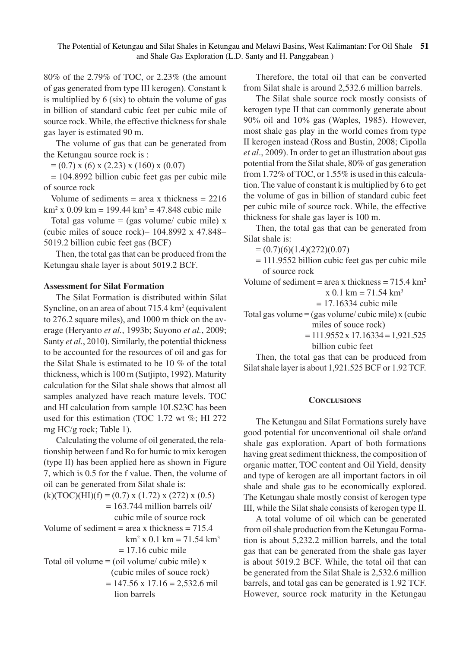80% of the 2.79% of TOC, or 2.23% (the amount of gas generated from type III kerogen). Constant k is multiplied by 6 (six) to obtain the volume of gas in billion of standard cubic feet per cubic mile of source rock. While, the effective thickness for shale gas layer is estimated 90 m.

The volume of gas that can be generated from the Ketungau source rock is :

 $= (0.7)$  x (6) x (2.23) x (160) x (0.07)

= 104.8992 billion cubic feet gas per cubic mile of source rock

Volume of sediments  $=$  area x thickness  $= 2216$  $\text{km}^2$  x 0.09 km = 199.44 km<sup>3</sup> = 47.848 cubic mile

Total gas volume = (gas volume/ cubic mile)  $x$ (cubic miles of souce rock) =  $104.8992 \times 47.848$  = 5019.2 billion cubic feet gas (BCF)

Then, the total gas that can be produced from the Ketungau shale layer is about 5019.2 BCF.

# **Assessment for Silat Formation**

The Silat Formation is distributed within Silat Syncline, on an area of about 715.4 km<sup>2</sup> (equivalent to 276.2 square miles), and 1000 m thick on the average (Heryanto *et al.*, 1993b; Suyono *et al.*, 2009; Santy *et al.*, 2010). Similarly, the potential thickness to be accounted for the resources of oil and gas for the Silat Shale is estimated to be 10 % of the total thickness, which is 100 m (Sutjipto, 1992). Maturity calculation for the Silat shale shows that almost all samples analyzed have reach mature levels. TOC and HI calculation from sample 10LS23C has been used for this estimation (TOC 1.72 wt %; HI 272 mg HC/g rock; Table 1).

Calculating the volume of oil generated, the relationship between f and Ro for humic to mix kerogen (type II) has been applied here as shown in Figure 7, which is 0.5 for the f value. Then, the volume of oil can be generated from Silat shale is:  $(k)(TOC)(HI)(f) = (0.7) x (1.72) x (272) x (0.5)$  $= 163.744$  million barrels oil/

 cubic mile of source rock Volume of sediment  $=$  area x thickness  $= 715.4$  $km^2$  x 0.1 km = 71.54 km<sup>3</sup>

 $= 17.16$  cubic mile Total oil volume  $=$  (oil volume/ cubic mile) x (cubic miles of souce rock)  $= 147.56 \times 17.16 = 2.532.6$  mil lion barrels

Therefore, the total oil that can be converted from Silat shale is around 2,532.6 million barrels.

The Silat shale source rock mostly consists of kerogen type II that can commonly generate about 90% oil and 10% gas (Waples, 1985). However, most shale gas play in the world comes from type II kerogen instead (Ross and Bustin, 2008; Cipolla *et al*., 2009). In order to get an illustration about gas potential from the Silat shale, 80% of gas generation from 1.72% of TOC, or 1.55% is used in this calculation. The value of constant k is multiplied by 6 to get the volume of gas in billion of standard cubic feet per cubic mile of source rock. While, the effective thickness for shale gas layer is 100 m.

Then, the total gas that can be generated from Silat shale is:

 $= (0.7)(6)(1.4)(272)(0.07)$ 

= 111.9552 billion cubic feet gas per cubic mile of source rock

Volume of sediment = area x thickness =  $715.4 \text{ km}^2$  $x$  0.1 km = 71.54 km<sup>3</sup>

 $= 17.16334$  cubic mile

Total gas volume =  $(gas$  volume/ cubic mile) x (cubic miles of souce rock)

> $= 111.9552 \times 17.16334 = 1.921.525$ billion cubic feet

Then, the total gas that can be produced from Silat shale layer is about 1,921.525 BCF or 1.92 TCF.

# **Conclusions**

The Ketungau and Silat Formations surely have good potential for unconventional oil shale or/and shale gas exploration. Apart of both formations having great sediment thickness, the composition of organic matter, TOC content and Oil Yield, density and type of kerogen are all important factors in oil shale and shale gas to be economically explored. The Ketungau shale mostly consist of kerogen type III, while the Silat shale consists of kerogen type II.

A total volume of oil which can be generated from oil shale production from the Ketungau Formation is about 5,232.2 million barrels, and the total gas that can be generated from the shale gas layer is about 5019.2 BCF. While, the total oil that can be generated from the Silat Shale is 2,532.6 million barrels, and total gas can be generated is 1.92 TCF. However, source rock maturity in the Ketungau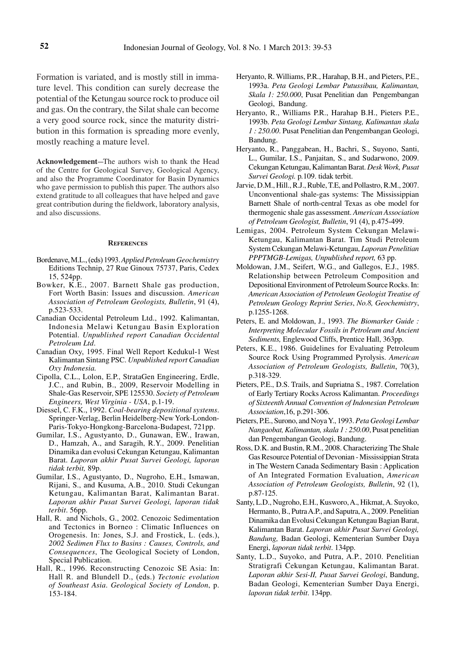Formation is variated, and is mostly still in immature level. This condition can surely decrease the potential of the Ketungau source rock to produce oil and gas. On the contrary, the Silat shale can become a very good source rock, since the maturity distribution in this formation is spreading more evenly, mostly reaching a mature level.

Acknowledgement-The authors wish to thank the Head of the Centre for Geological Survey, Geological Agency, and also the Programme Coordinator for Basin Dynamics who gave permission to publish this paper. The authors also extend gratitude to all colleagues that have helped and gave great contribution during the fieldwork, laboratory analysis, and also discussions.

#### **References**

- Bordenave, M.L., (eds) 1993. *Applied Petroleum Geochemistry*  Editions Technip, 27 Rue Ginoux 75737, Paris, Cedex 15, 524pp.
- Bowker, K.E., 2007. Barnett Shale gas production, Fort Worth Basin: Issues and discussion. *American Association of Petroleum Geologists, Bulletin*, 91 (4), p.523-533.
- Canadian Occidental Petroleum Ltd., 1992. Kalimantan, Indonesia Melawi Ketungau Basin Exploration Potential. *Unpublished report Canadian Occidental Petroleum Ltd*.
- Canadian Oxy, 1995. Final Well Report Kedukul-1 West Kalimantan Sintang PSC. *Unpublished report Canadian Oxy Indonesia.*
- Cipolla, C.L., Lolon, E.P., StrataGen Engineering, Erdle, J.C., and Rubin, B., 2009, Reservoir Modelling in Shale-Gas Reservoir, SPE 125530. *Society of Petroleum Engineers, West Virginia - USA*, p.1-19.
- Diessel, C. F.K., 1992. *Coal-bearing depositional systems*. Springer-Verlag, Berlin Heidelberg-New York-London-Paris-Tokyo-Hongkong-Barcelona-Budapest, 721pp.
- Gumilar, I.S., Agustyanto, D., Gunawan, EW., Irawan, D., Hamzah, A., and Saragih, R.Y., 2009. Penelitian Dinamika dan evolusi Cekungan Ketungau, Kalimantan Barat. *Laporan akhir Pusat Survei Geologi, laporan tidak terbit,* 89p.
- Gumilar, I.S., Agustyanto, D., Nugroho, E.H., Ismawan, Rijani, S., and Kusuma, A.B., 2010. Studi Cekungan Ketungau, Kalimantan Barat, Kalimantan Barat. *Laporan akhir Pusat Survei Geologi, laporan tidak terbit*. 56pp.
- Hall, R. and Nichols, G., 2002. Cenozoic Sedimentation and Tectonics in Borneo : Climatic Influences on Orogenesis. In: Jones, S.J. and Frostick, L. (eds.), *2002 Sedimen Flux to Basins : Causes, Controls, and Consequences*, The Geological Society of London, Special Publication.
- Hall, R., 1996. Reconstructing Cenozoic SE Asia: In: Hall R. and Blundell D., (eds.) *Tectonic evolution of Southeast Asia*. *Geological Society of London*, p. 153-184.
- Heryanto, R. Williams, P.R., Harahap, B.H., and Pieters, P.E., 1993a. *Peta Geologi Lembar Putussibau, Kalimantan, Skala 1: 250.000*, Pusat Penelitian dan Pengembangan Geologi, Bandung.
- Heryanto, R., Williams P.R., Harahap B.H., Pieters P.E., 1993b. *Peta Geologi Lembar Sintang, Kalimantan skala 1 : 250.00*. Pusat Penelitian dan Pengembangan Geologi, Bandung.
- Heryanto, R., Panggabean, H., Bachri, S., Suyono, Santi, L., Gumilar, I.S., Panjaitan, S., and Sudarwono, 2009. Cekungan Ketungau, Kalimantan Barat. *Desk Work, Pusat Survei Geologi.* p*.*109. tidak terbit.
- Jarvie, D.M., Hill., R.J., Ruble, T.E, and Pollastro, R.M., 2007. Unconventional shale-gas systems: The Mississippian Barnett Shale of north-central Texas as obe model for thermogenic shale gas assessment. *American Association of Petroleum Geologist, Bulletin*, 91 (4), p.475-499.
- Lemigas, 2004. Petroleum System Cekungan Melawi-Ketungau, Kalimantan Barat. Tim Studi Petroleum System Cekungan Melawi-Ketungau, *Laporan Penelitian PPPTMGB-Lemigas, Unpublished report,* 63 pp.
- Moldowan, J.M., Seifert, W.G., and Gallegos, E.J., 1985. Relationship between Petroleum Composition and Depositional Environment of Petroleum Source Rocks. In: *American Association of Petroleum Geologist Treatise of Petroleum Geology Reprint Series*, *No.8, Geochemistry*, p.1255-1268.
- Peters, E. and Moldowan, J., 1993. *The Biomarker Guide : Interpreting Molecular Fossils in Petroleum and Ancient Sediments,* Englewood Cliffs, Prentice Hall, 363pp.
- Peters, K.E., 1986. Guidelines for Evaluating Petroleum Source Rock Using Programmed Pyrolysis. *American Association of Petroleum Geologists, Bulletin*, 70(3), p.318-329.
- Pieters, P.E., D.S. Trails, and Supriatna S., 1987. Correlation of Early Tertiary Rocks Across Kalimantan. *Proceedings of Sixteenth Annual Convention of Indonesian Petroleum Association*,16, p.291-306.
- Pieters, P.E., Surono, and Noya Y., 1993. *Peta Geologi Lembar Nangaobat, Kalimantan, skala 1 : 250.00*, Pusat penelitian dan Pengembangan Geologi, Bandung.
- Ross, D.K. and Bustin, R.M., 2008. Characterizing The Shale Gas Resource Potential of Devonian - Mississippian Strata in The Western Canada Sedimentary Basin : Application of An Integrated Formation Evaluation, *American Association of Petroleum Geologists, Bulletin*, 92 (1), p.87-125.
- Santy, L.D., Nugroho, E.H., Kusworo, A., Hikmat, A. Suyoko, Hermanto, B., Putra A.P., and Saputra, A., 2009. Penelitian Dinamika dan Evolusi Cekungan Ketungau Bagian Barat, Kalimantan Barat. *Laporan akhir Pusat Survei Geologi, Bandung,* Badan Geologi, Kementerian Sumber Daya Energi, *laporan tidak terbit*. 134pp.
- Santy, L.D., Suyoko, and Putra, A.P., 2010. Penelitian Stratigrafi Cekungan Ketungau, Kalimantan Barat. *Laporan akhir Sesi-II, Pusat Survei Geologi*, Bandung, Badan Geologi, Kementerian Sumber Daya Energi, *laporan tidak terbit*. 134pp.